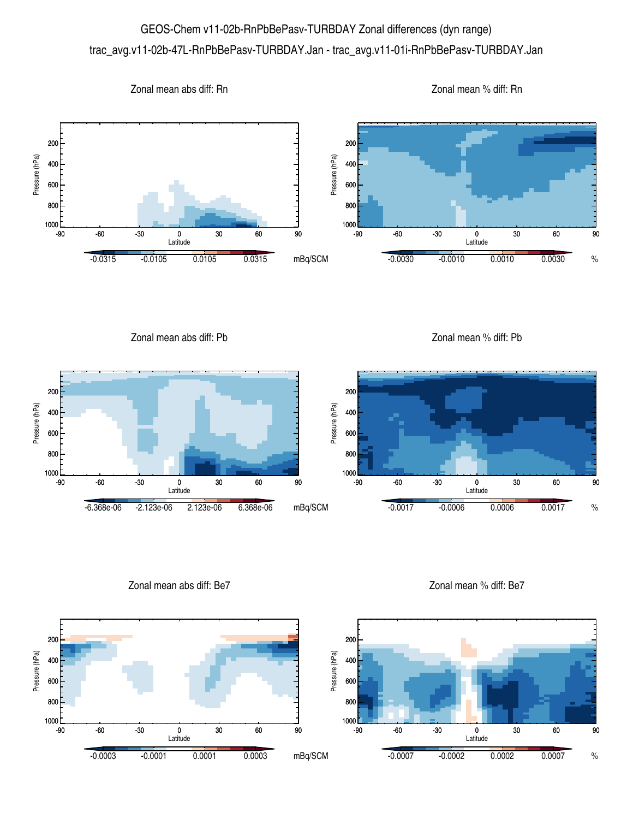## GEOS-Chem v11-02b-RnPbBePasv-TURBDAY Zonal differences (dyn range) trac\_avg.v11-02b-47L-RnPbBePasv-TURBDAY.Jan - trac\_avg.v11-01i-RnPbBePasv-TURBDAY.Jan



Zonal mean abs diff: Pb

Zonal mean % diff: Pb



Zonal mean abs diff: Be7